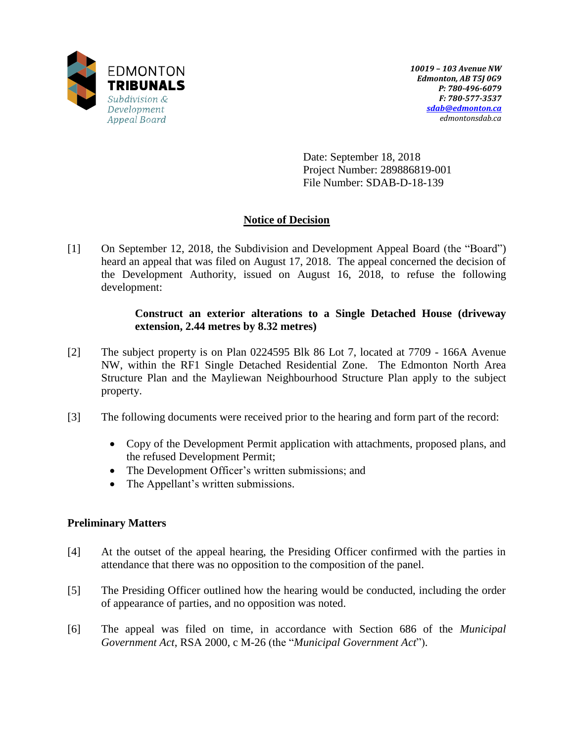

Date: September 18, 2018 Project Number: 289886819-001 File Number: SDAB-D-18-139

## **Notice of Decision**

[1] On September 12, 2018, the Subdivision and Development Appeal Board (the "Board") heard an appeal that was filed on August 17, 2018. The appeal concerned the decision of the Development Authority, issued on August 16, 2018, to refuse the following development:

### **Construct an exterior alterations to a Single Detached House (driveway extension, 2.44 metres by 8.32 metres)**

- [2] The subject property is on Plan 0224595 Blk 86 Lot 7, located at 7709 166A Avenue NW, within the RF1 Single Detached Residential Zone. The Edmonton North Area Structure Plan and the Mayliewan Neighbourhood Structure Plan apply to the subject property.
- [3] The following documents were received prior to the hearing and form part of the record:
	- Copy of the Development Permit application with attachments, proposed plans, and the refused Development Permit;
	- The Development Officer's written submissions; and
	- The Appellant's written submissions.

## **Preliminary Matters**

- [4] At the outset of the appeal hearing, the Presiding Officer confirmed with the parties in attendance that there was no opposition to the composition of the panel.
- [5] The Presiding Officer outlined how the hearing would be conducted, including the order of appearance of parties, and no opposition was noted.
- [6] The appeal was filed on time, in accordance with Section 686 of the *Municipal Government Act*, RSA 2000, c M-26 (the "*Municipal Government Act*").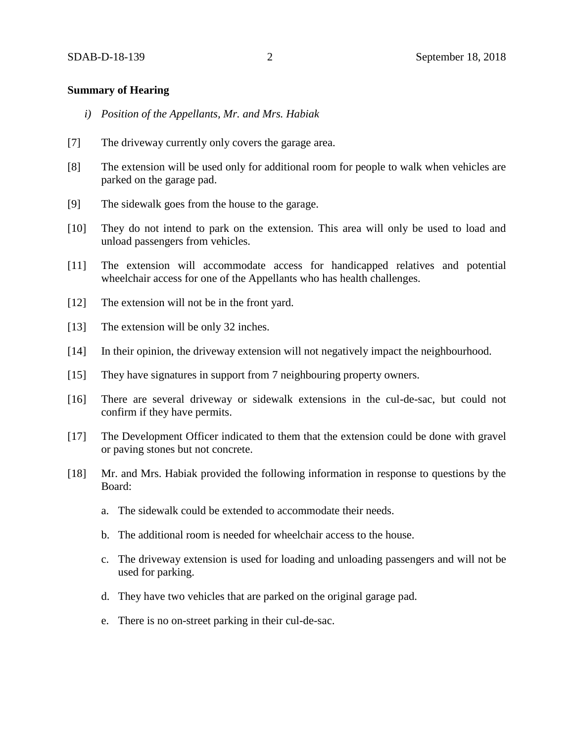#### **Summary of Hearing**

- *i) Position of the Appellants, Mr. and Mrs. Habiak*
- [7] The driveway currently only covers the garage area.
- [8] The extension will be used only for additional room for people to walk when vehicles are parked on the garage pad.
- [9] The sidewalk goes from the house to the garage.
- [10] They do not intend to park on the extension. This area will only be used to load and unload passengers from vehicles.
- [11] The extension will accommodate access for handicapped relatives and potential wheelchair access for one of the Appellants who has health challenges.
- [12] The extension will not be in the front yard.
- [13] The extension will be only 32 inches.
- [14] In their opinion, the driveway extension will not negatively impact the neighbourhood.
- [15] They have signatures in support from 7 neighbouring property owners.
- [16] There are several driveway or sidewalk extensions in the cul-de-sac, but could not confirm if they have permits.
- [17] The Development Officer indicated to them that the extension could be done with gravel or paving stones but not concrete.
- [18] Mr. and Mrs. Habiak provided the following information in response to questions by the Board:
	- a. The sidewalk could be extended to accommodate their needs.
	- b. The additional room is needed for wheelchair access to the house.
	- c. The driveway extension is used for loading and unloading passengers and will not be used for parking.
	- d. They have two vehicles that are parked on the original garage pad.
	- e. There is no on-street parking in their cul-de-sac.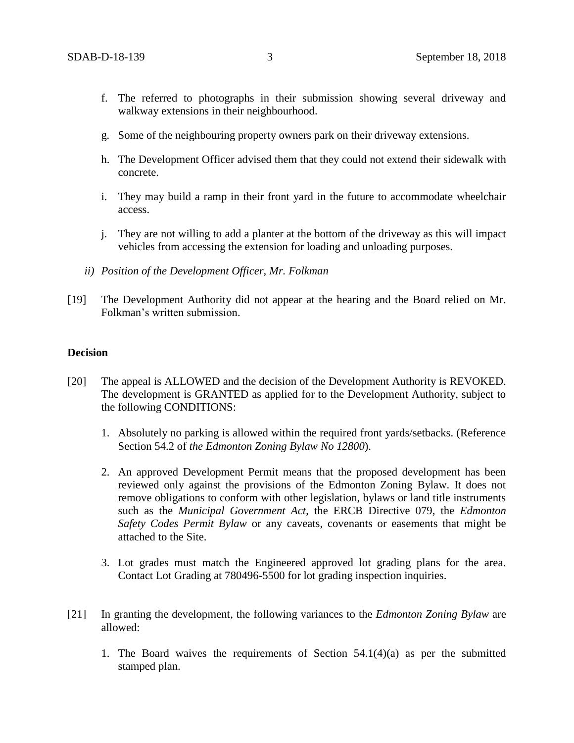- f. The referred to photographs in their submission showing several driveway and walkway extensions in their neighbourhood.
- g. Some of the neighbouring property owners park on their driveway extensions.
- h. The Development Officer advised them that they could not extend their sidewalk with concrete.
- i. They may build a ramp in their front yard in the future to accommodate wheelchair access.
- j. They are not willing to add a planter at the bottom of the driveway as this will impact vehicles from accessing the extension for loading and unloading purposes.
- *ii) Position of the Development Officer, Mr. Folkman*
- [19] The Development Authority did not appear at the hearing and the Board relied on Mr. Folkman's written submission.

#### **Decision**

- [20] The appeal is ALLOWED and the decision of the Development Authority is REVOKED. The development is GRANTED as applied for to the Development Authority, subject to the following CONDITIONS:
	- 1. Absolutely no parking is allowed within the required front yards/setbacks. (Reference Section 54.2 of *the Edmonton Zoning Bylaw No 12800*).
	- 2. An approved Development Permit means that the proposed development has been reviewed only against the provisions of the Edmonton Zoning Bylaw. It does not remove obligations to conform with other legislation, bylaws or land title instruments such as the *Municipal Government Act*, the ERCB Directive 079, the *Edmonton Safety Codes Permit Bylaw* or any caveats, covenants or easements that might be attached to the Site.
	- 3. Lot grades must match the Engineered approved lot grading plans for the area. Contact Lot Grading at 780496-5500 for lot grading inspection inquiries.
- [21] In granting the development, the following variances to the *Edmonton Zoning Bylaw* are allowed:
	- 1. The Board waives the requirements of Section 54.1(4)(a) as per the submitted stamped plan.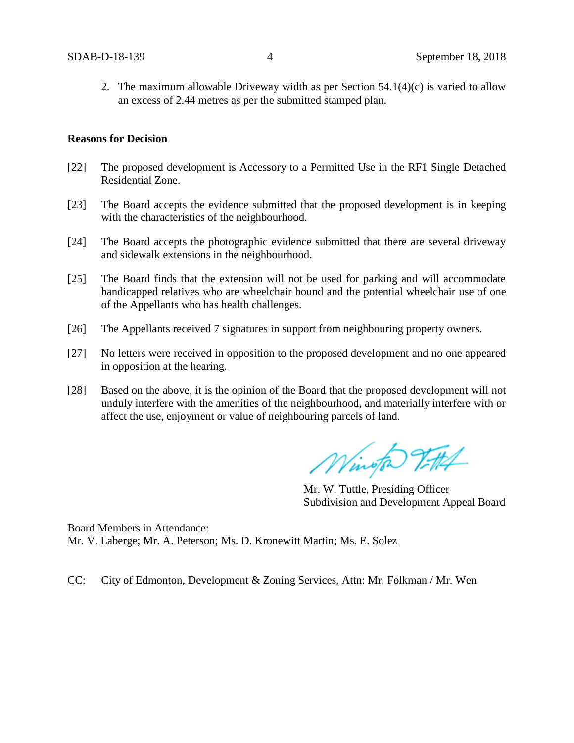2. The maximum allowable Driveway width as per Section  $54.1(4)(c)$  is varied to allow an excess of 2.44 metres as per the submitted stamped plan.

#### **Reasons for Decision**

- [22] The proposed development is Accessory to a Permitted Use in the RF1 Single Detached Residential Zone.
- [23] The Board accepts the evidence submitted that the proposed development is in keeping with the characteristics of the neighbourhood.
- [24] The Board accepts the photographic evidence submitted that there are several driveway and sidewalk extensions in the neighbourhood.
- [25] The Board finds that the extension will not be used for parking and will accommodate handicapped relatives who are wheelchair bound and the potential wheelchair use of one of the Appellants who has health challenges.
- [26] The Appellants received 7 signatures in support from neighbouring property owners.
- [27] No letters were received in opposition to the proposed development and no one appeared in opposition at the hearing.
- [28] Based on the above, it is the opinion of the Board that the proposed development will not unduly interfere with the amenities of the neighbourhood, and materially interfere with or affect the use, enjoyment or value of neighbouring parcels of land.

Winter Titth

Mr. W. Tuttle, Presiding Officer Subdivision and Development Appeal Board

Board Members in Attendance: Mr. V. Laberge; Mr. A. Peterson; Ms. D. Kronewitt Martin; Ms. E. Solez

CC: City of Edmonton, Development & Zoning Services, Attn: Mr. Folkman / Mr. Wen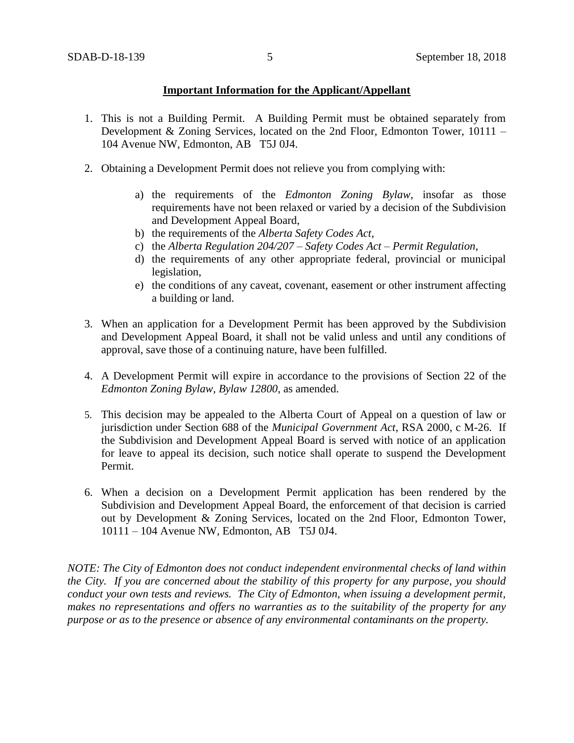#### **Important Information for the Applicant/Appellant**

- 1. This is not a Building Permit. A Building Permit must be obtained separately from Development & Zoning Services, located on the 2nd Floor, Edmonton Tower, 10111 – 104 Avenue NW, Edmonton, AB T5J 0J4.
- 2. Obtaining a Development Permit does not relieve you from complying with:
	- a) the requirements of the *Edmonton Zoning Bylaw*, insofar as those requirements have not been relaxed or varied by a decision of the Subdivision and Development Appeal Board,
	- b) the requirements of the *Alberta Safety Codes Act*,
	- c) the *Alberta Regulation 204/207 – Safety Codes Act – Permit Regulation*,
	- d) the requirements of any other appropriate federal, provincial or municipal legislation,
	- e) the conditions of any caveat, covenant, easement or other instrument affecting a building or land.
- 3. When an application for a Development Permit has been approved by the Subdivision and Development Appeal Board, it shall not be valid unless and until any conditions of approval, save those of a continuing nature, have been fulfilled.
- 4. A Development Permit will expire in accordance to the provisions of Section 22 of the *Edmonton Zoning Bylaw, Bylaw 12800*, as amended.
- 5. This decision may be appealed to the Alberta Court of Appeal on a question of law or jurisdiction under Section 688 of the *Municipal Government Act*, RSA 2000, c M-26. If the Subdivision and Development Appeal Board is served with notice of an application for leave to appeal its decision, such notice shall operate to suspend the Development Permit.
- 6. When a decision on a Development Permit application has been rendered by the Subdivision and Development Appeal Board, the enforcement of that decision is carried out by Development & Zoning Services, located on the 2nd Floor, Edmonton Tower, 10111 – 104 Avenue NW, Edmonton, AB T5J 0J4.

*NOTE: The City of Edmonton does not conduct independent environmental checks of land within the City. If you are concerned about the stability of this property for any purpose, you should conduct your own tests and reviews. The City of Edmonton, when issuing a development permit, makes no representations and offers no warranties as to the suitability of the property for any purpose or as to the presence or absence of any environmental contaminants on the property.*